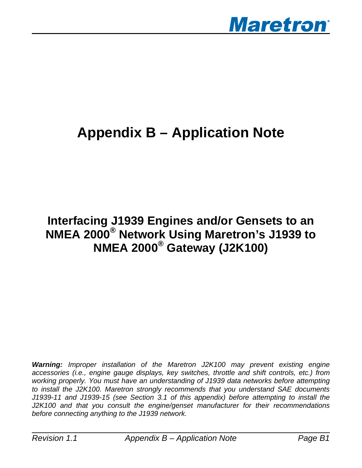

# **Appendix B – Application Note**

# **Interfacing J1939 Engines and/or Gensets to an NMEA 2000® Network Using Maretron's J1939 to NMEA 2000® Gateway (J2K100)**

*Warning: Improper installation of the Maretron J2K100 may prevent existing engine accessories (i.e., engine gauge displays, key switches, throttle and shift controls, etc.) from working properly. You must have an understanding of J1939 data networks before attempting to install the J2K100. Maretron strongly recommends that you understand SAE documents J1939-11 and J1939-15 (see Section 3.1 of this appendix) before attempting to install the J2K100 and that you consult the engine/genset manufacturer for their recommendations before connecting anything to the J1939 network.*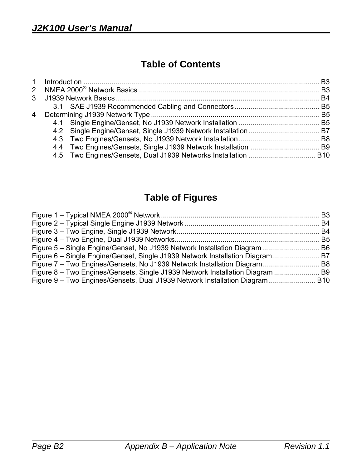## **Table of Contents**

| 2  NMEA 2000 <sup>®</sup> Network Basics ……………………………………………………………………………… B3 |  |
|----------------------------------------------------------------------------|--|
|                                                                            |  |
|                                                                            |  |
|                                                                            |  |
|                                                                            |  |
|                                                                            |  |
|                                                                            |  |
|                                                                            |  |
|                                                                            |  |
|                                                                            |  |

# **Table of Figures**

| Figure 7 – Two Engines/Gensets, No J1939 Network Installation Diagram B8      |  |
|-------------------------------------------------------------------------------|--|
| Figure 8 – Two Engines/Gensets, Single J1939 Network Installation Diagram  B9 |  |
| Figure 9 – Two Engines/Gensets, Dual J1939 Network Installation Diagram B10   |  |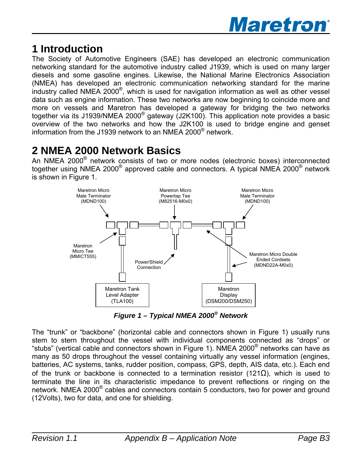

# **1 Introduction**

The Society of Automotive Engineers (SAE) has developed an electronic communication networking standard for the automotive industry called J1939, which is used on many larger diesels and some gasoline engines. Likewise, the National Marine Electronics Association (NMEA) has developed an electronic communication networking standard for the marine industry called NMEA 2000<sup>®</sup>, which is used for navigation information as well as other vessel data such as engine information. These two networks are now beginning to coincide more and more on vessels and Maretron has developed a gateway for bridging the two networks together via its J1939/NMEA 2000® gateway (J2K100). This application note provides a basic overview of the two networks and how the J2K100 is used to bridge engine and genset information from the J1939 network to an NMEA 2000® network.

# **2 NMEA 2000 Network Basics**

An NMEA 2000® network consists of two or more nodes (electronic boxes) interconnected together using NMEA 2000® approved cable and connectors. A typical NMEA 2000® network is shown in Figure 1.



*Figure 1 – Typical NMEA 2000® Network* 

The "trunk" or "backbone" (horizontal cable and connectors shown in Figure 1) usually runs stem to stern throughout the vessel with individual components connected as "drops" or "stubs" (vertical cable and connectors shown in Figure 1). NMEA 2000® networks can have as many as 50 drops throughout the vessel containing virtually any vessel information (engines, batteries, AC systems, tanks, rudder position, compass, GPS, depth, AIS data, etc.). Each end of the trunk or backbone is connected to a termination resistor (121 $\Omega$ ), which is used to terminate the line in its characteristic impedance to prevent reflections or ringing on the network. NMEA 2000<sup>®</sup> cables and connectors contain 5 conductors, two for power and ground (12Volts), two for data, and one for shielding.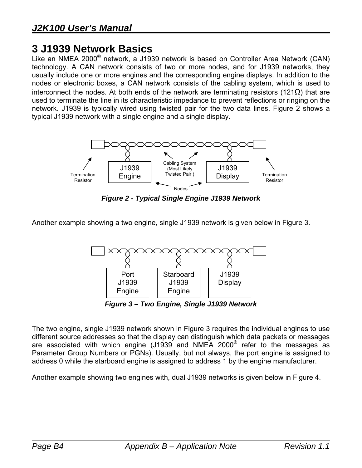# **3 J1939 Network Basics**

Like an NMEA 2000® network, a J1939 network is based on Controller Area Network (CAN) technology. A CAN network consists of two or more nodes, and for J1939 networks, they usually include one or more engines and the corresponding engine displays. In addition to the nodes or electronic boxes, a CAN network consists of the cabling system, which is used to interconnect the nodes. At both ends of the network are terminating resistors (121Ω) that are used to terminate the line in its characteristic impedance to prevent reflections or ringing on the network. J1939 is typically wired using twisted pair for the two data lines. Figure 2 shows a typical J1939 network with a single engine and a single display.



*Figure 2 - Typical Single Engine J1939 Network*

Another example showing a two engine, single J1939 network is given below in Figure 3.



*Figure 3 – Two Engine, Single J1939 Network* 

The two engine, single J1939 network shown in Figure 3 requires the individual engines to use different source addresses so that the display can distinguish which data packets or messages are associated with which engine (J1939 and NMEA 2000® refer to the messages as Parameter Group Numbers or PGNs). Usually, but not always, the port engine is assigned to address 0 while the starboard engine is assigned to address 1 by the engine manufacturer.

Another example showing two engines with, dual J1939 networks is given below in Figure 4.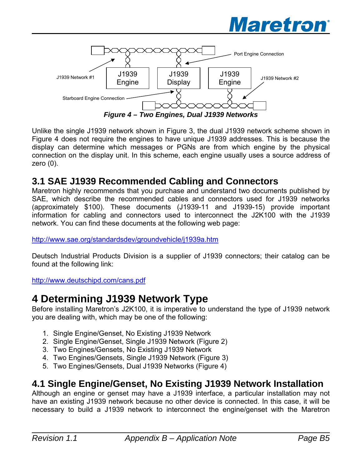



Unlike the single J1939 network shown in Figure 3, the dual J1939 network scheme shown in Figure 4 does not require the engines to have unique J1939 addresses. This is because the display can determine which messages or PGNs are from which engine by the physical connection on the display unit. In this scheme, each engine usually uses a source address of zero (0).

#### **3.1 SAE J1939 Recommended Cabling and Connectors**

Maretron highly recommends that you purchase and understand two documents published by SAE, which describe the recommended cables and connectors used for J1939 networks (approximately \$100). These documents (J1939-11 and J1939-15) provide important information for cabling and connectors used to interconnect the J2K100 with the J1939 network. You can find these documents at the following web page:

http://www.sae.org/standardsdev/groundvehicle/j1939a.htm

Deutsch Industrial Products Division is a supplier of J1939 connectors; their catalog can be found at the following link:

http://www.deutschipd.com/cans.pdf

## **4 Determining J1939 Network Type**

Before installing Maretron's J2K100, it is imperative to understand the type of J1939 network you are dealing with, which may be one of the following:

- 1. Single Engine/Genset, No Existing J1939 Network
- 2. Single Engine/Genset, Single J1939 Network (Figure 2)
- 3. Two Engines/Gensets, No Existing J1939 Network
- 4. Two Engines/Gensets, Single J1939 Network (Figure 3)
- 5. Two Engines/Gensets, Dual J1939 Networks (Figure 4)

#### **4.1 Single Engine/Genset, No Existing J1939 Network Installation**

Although an engine or genset may have a J1939 interface, a particular installation may not have an existing J1939 network because no other device is connected. In this case, it will be necessary to build a J1939 network to interconnect the engine/genset with the Maretron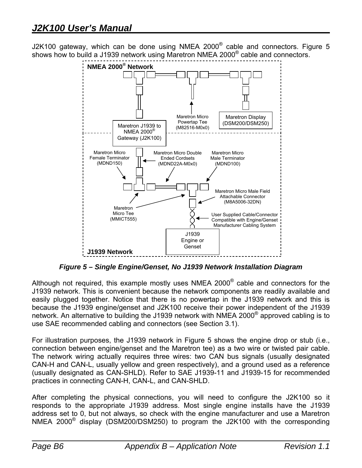J2K100 gateway, which can be done using NMEA 2000 $^{\circ}$  cable and connectors. Figure 5 shows how to build a J1939 network using Maretron NMEA 2000<sup>®</sup> cable and connectors.



*Figure 5 – Single Engine/Genset, No J1939 Network Installation Diagram* 

Although not required, this example mostly uses NMEA 2000 $^{\circ}$  cable and connectors for the J1939 network. This is convenient because the network components are readily available and easily plugged together. Notice that there is no powertap in the J1939 network and this is because the J1939 engine/genset and J2K100 receive their power independent of the J1939 network. An alternative to building the J1939 network with NMEA 2000 $^{\circ}$  approved cabling is to use SAE recommended cabling and connectors (see Section 3.1).

For illustration purposes, the J1939 network in Figure 5 shows the engine drop or stub (i.e., connection between engine/genset and the Maretron tee) as a two wire or twisted pair cable. The network wiring actually requires three wires: two CAN bus signals (usually designated CAN-H and CAN-L, usually yellow and green respectively), and a ground used as a reference (usually designated as CAN-SHLD). Refer to SAE J1939-11 and J1939-15 for recommended practices in connecting CAN-H, CAN-L, and CAN-SHLD.

After completing the physical connections, you will need to configure the J2K100 so it responds to the appropriate J1939 address. Most single engine installs have the J1939 address set to 0, but not always, so check with the engine manufacturer and use a Maretron NMEA 2000® display (DSM200/DSM250) to program the J2K100 with the corresponding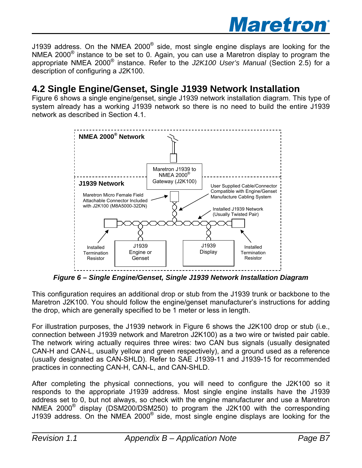

J1939 address. On the NMEA 2000 $^{\circ}$  side, most single engine displays are looking for the NMEA 2000® instance to be set to 0. Again, you can use a Maretron display to program the appropriate NMEA 2000® instance. Refer to the *J2K100 User's Manual* (Section 2.5) for a description of configuring a J2K100.

#### **4.2 Single Engine/Genset, Single J1939 Network Installation**

Figure 6 shows a single engine/genset, single J1939 network installation diagram. This type of system already has a working J1939 network so there is no need to build the entire J1939 network as described in Section 4.1.



*Figure 6 – Single Engine/Genset, Single J1939 Network Installation Diagram* 

This configuration requires an additional drop or stub from the J1939 trunk or backbone to the Maretron J2K100. You should follow the engine/genset manufacturer's instructions for adding the drop, which are generally specified to be 1 meter or less in length.

For illustration purposes, the J1939 network in Figure 6 shows the J2K100 drop or stub (i.e., connection between J1939 network and Maretron J2K100) as a two wire or twisted pair cable. The network wiring actually requires three wires: two CAN bus signals (usually designated CAN-H and CAN-L, usually yellow and green respectively), and a ground used as a reference (usually designated as CAN-SHLD). Refer to SAE J1939-11 and J1939-15 for recommended practices in connecting CAN-H, CAN-L, and CAN-SHLD.

After completing the physical connections, you will need to configure the J2K100 so it responds to the appropriate J1939 address. Most single engine installs have the J1939 address set to 0, but not always, so check with the engine manufacturer and use a Maretron NMEA 2000® display (DSM200/DSM250) to program the J2K100 with the corresponding J1939 address. On the NMEA 2000 $^{\circ}$  side, most single engine displays are looking for the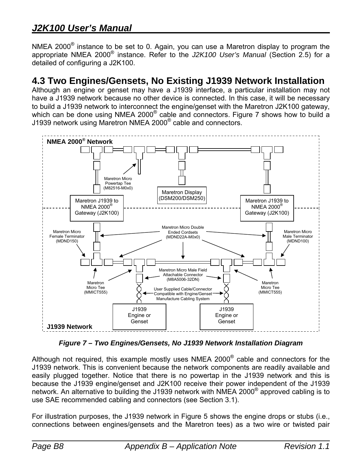NMEA 2000<sup>®</sup> instance to be set to 0. Again, you can use a Maretron display to program the appropriate NMEA 2000® instance. Refer to the *J2K100 User's Manual* (Section 2.5) for a detailed of configuring a J2K100.

#### **4.3 Two Engines/Gensets, No Existing J1939 Network Installation**

Although an engine or genset may have a J1939 interface, a particular installation may not have a J1939 network because no other device is connected. In this case, it will be necessary to build a J1939 network to interconnect the engine/genset with the Maretron J2K100 gateway, which can be done using NMEA 2000<sup>®</sup> cable and connectors. Figure 7 shows how to build a J1939 network using Maretron NMEA 2000® cable and connectors.



*Figure 7 – Two Engines/Gensets, No J1939 Network Installation Diagram* 

Although not required, this example mostly uses NMEA 2000 $^{\circ}$  cable and connectors for the J1939 network. This is convenient because the network components are readily available and easily plugged together. Notice that there is no powertap in the J1939 network and this is because the J1939 engine/genset and J2K100 receive their power independent of the J1939 network. An alternative to building the J1939 network with NMEA 2000® approved cabling is to use SAE recommended cabling and connectors (see Section 3.1).

For illustration purposes, the J1939 network in Figure 5 shows the engine drops or stubs (i.e., connections between engines/gensets and the Maretron tees) as a two wire or twisted pair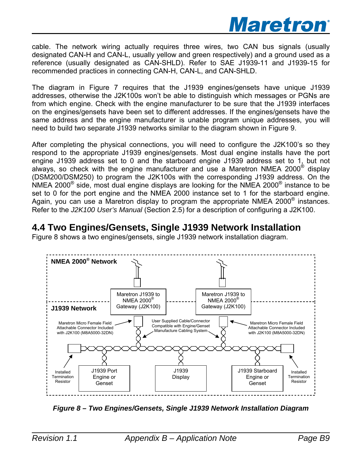

cable. The network wiring actually requires three wires, two CAN bus signals (usually designated CAN-H and CAN-L, usually yellow and green respectively) and a ground used as a reference (usually designated as CAN-SHLD). Refer to SAE J1939-11 and J1939-15 for recommended practices in connecting CAN-H, CAN-L, and CAN-SHLD.

The diagram in Figure 7 requires that the J1939 engines/gensets have unique J1939 addresses, otherwise the J2K100s won't be able to distinguish which messages or PGNs are from which engine. Check with the engine manufacturer to be sure that the J1939 interfaces on the engines/gensets have been set to different addresses. If the engines/gensets have the same address and the engine manufacturer is unable program unique addresses, you will need to build two separate J1939 networks similar to the diagram shown in Figure 9.

After completing the physical connections, you will need to configure the J2K100's so they respond to the appropriate J1939 engines/gensets. Most dual engine installs have the port engine J1939 address set to 0 and the starboard engine J1939 address set to 1, but not always, so check with the engine manufacturer and use a Maretron NMEA 2000® display (DSM200/DSM250) to program the J2K100s with the corresponding J1939 address. On the NMEA 2000 $^{\circ}$  side, most dual engine displays are looking for the NMEA 2000 $^{\circ}$  instance to be set to 0 for the port engine and the NMEA 2000 instance set to 1 for the starboard engine. Again, you can use a Maretron display to program the appropriate NMEA 2000 $^{\circ}$  instances. Refer to the *J2K100 User's Manual* (Section 2.5) for a description of configuring a J2K100.

### **4.4 Two Engines/Gensets, Single J1939 Network Installation**

Figure 8 shows a two engines/gensets, single J1939 network installation diagram.



*Figure 8 – Two Engines/Gensets, Single J1939 Network Installation Diagram*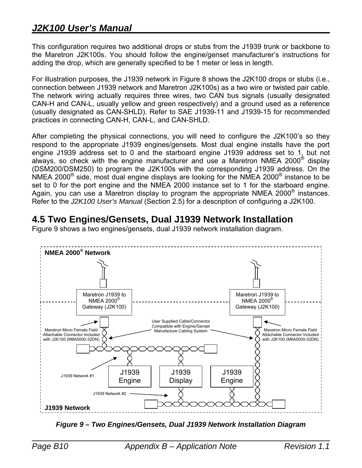## *J2K100 User's Manual*

This configuration requires two additional drops or stubs from the J1939 trunk or backbone to the Maretron J2K100s. You should follow the engine/genset manufacturer's instructions for adding the drop, which are generally specified to be 1 meter or less in length.

For illustration purposes, the J1939 network in Figure 8 shows the J2K100 drops or stubs (i.e., connection between J1939 network and Maretron J2K100s) as a two wire or twisted pair cable. The network wiring actually requires three wires, two CAN bus signals (usually designated CAN-H and CAN-L, usually yellow and green respectively) and a ground used as a reference (usually designated as CAN-SHLD). Refer to SAE J1939-11 and J1939-15 for recommended practices in connecting CAN-H, CAN-L, and CAN-SHLD.

After completing the physical connections, you will need to configure the J2K100's so they respond to the appropriate J1939 engines/gensets. Most dual engine installs have the port engine J1939 address set to 0 and the starboard engine J1939 address set to 1, but not always, so check with the engine manufacturer and use a Maretron NMEA 2000® display (DSM200/DSM250) to program the J2K100s with the corresponding J1939 address. On the NMEA 2000 $^{\circ}$  side, most dual engine displays are looking for the NMEA 2000 $^{\circ}$  instance to be set to 0 for the port engine and the NMEA 2000 instance set to 1 for the starboard engine. Again, you can use a Maretron display to program the appropriate NMEA 2000<sup>®</sup> instances. Refer to the *J2K100 User's Manual* (Section 2.5) for a description of configuring a J2K100.

### **4.5 Two Engines/Gensets, Dual J1939 Network Installation**



Figure 9 shows a two engines/gensets, dual J1939 network installation diagram.

*Figure 9 – Two Engines/Gensets, Dual J1939 Network Installation Diagram*